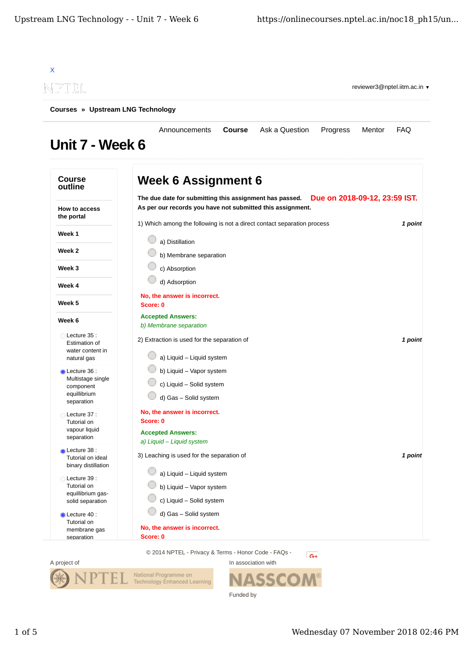

Funded by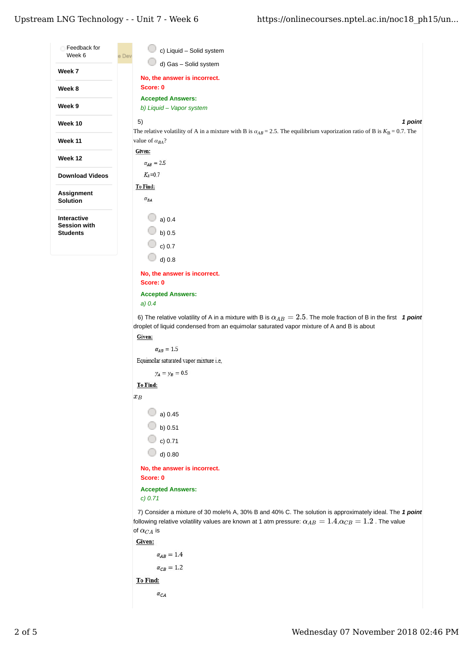## Upstream LNG Technology - - Unit  $7$  - Week  $6$

| Feedback for<br>Week 6                 | c) Liquid - Solid system<br>e Dev                                                                                                                                                                                          |  |  |  |  |  |  |
|----------------------------------------|----------------------------------------------------------------------------------------------------------------------------------------------------------------------------------------------------------------------------|--|--|--|--|--|--|
| Week 7                                 | d) Gas - Solid system                                                                                                                                                                                                      |  |  |  |  |  |  |
| Week 8                                 | No, the answer is incorrect.<br>Score: 0                                                                                                                                                                                   |  |  |  |  |  |  |
|                                        | <b>Accepted Answers:</b>                                                                                                                                                                                                   |  |  |  |  |  |  |
| Week 9                                 | b) Liquid - Vapor system                                                                                                                                                                                                   |  |  |  |  |  |  |
| Week 10                                | 1 point<br>5)<br>The relative volatility of A in a mixture with B is $\alpha_{AB}$ = 2.5. The equilibrium vaporization ratio of B is $K_B$ = 0.7. The                                                                      |  |  |  |  |  |  |
| Week 11                                | value of $\alpha_{BA}$ ?                                                                                                                                                                                                   |  |  |  |  |  |  |
| Week 12                                | Given:<br>$\alpha_{AB}=2.5$                                                                                                                                                                                                |  |  |  |  |  |  |
| <b>Download Videos</b>                 | $K_B=0.7$                                                                                                                                                                                                                  |  |  |  |  |  |  |
|                                        | To Find:                                                                                                                                                                                                                   |  |  |  |  |  |  |
| Assignment<br>Solution                 | $\alpha_{BA}$                                                                                                                                                                                                              |  |  |  |  |  |  |
| Interactive                            | a) $0.4$                                                                                                                                                                                                                   |  |  |  |  |  |  |
| <b>Session with</b><br><b>Students</b> | b) $0.5$                                                                                                                                                                                                                   |  |  |  |  |  |  |
|                                        | c) 0.7                                                                                                                                                                                                                     |  |  |  |  |  |  |
|                                        | d) 0.8                                                                                                                                                                                                                     |  |  |  |  |  |  |
|                                        | No, the answer is incorrect.                                                                                                                                                                                               |  |  |  |  |  |  |
|                                        | Score: 0                                                                                                                                                                                                                   |  |  |  |  |  |  |
|                                        | <b>Accepted Answers:</b>                                                                                                                                                                                                   |  |  |  |  |  |  |
|                                        | $a)$ 0.4                                                                                                                                                                                                                   |  |  |  |  |  |  |
|                                        | 6) The relative volatility of A in a mixture with B is $\alpha_{AB}=2.5$ . The mole fraction of B in the first 1 point                                                                                                     |  |  |  |  |  |  |
|                                        | droplet of liquid condensed from an equimolar saturated vapor mixture of A and B is about                                                                                                                                  |  |  |  |  |  |  |
|                                        | Given:<br>$\alpha_{AB} = 1.5$                                                                                                                                                                                              |  |  |  |  |  |  |
|                                        | Equimolar saturated vapor mixture i.e,                                                                                                                                                                                     |  |  |  |  |  |  |
|                                        | $y_A = y_B = 0.5$                                                                                                                                                                                                          |  |  |  |  |  |  |
|                                        | To Find:                                                                                                                                                                                                                   |  |  |  |  |  |  |
|                                        | $x_B$                                                                                                                                                                                                                      |  |  |  |  |  |  |
|                                        |                                                                                                                                                                                                                            |  |  |  |  |  |  |
|                                        | a) 0.45                                                                                                                                                                                                                    |  |  |  |  |  |  |
|                                        | $\circ$ b) 0.51                                                                                                                                                                                                            |  |  |  |  |  |  |
|                                        | $\circ$ c) 0.71                                                                                                                                                                                                            |  |  |  |  |  |  |
|                                        | $\bigcirc$ d) 0.80                                                                                                                                                                                                         |  |  |  |  |  |  |
|                                        | No, the answer is incorrect.<br>Score: 0                                                                                                                                                                                   |  |  |  |  |  |  |
|                                        | <b>Accepted Answers:</b><br>c) 0.71                                                                                                                                                                                        |  |  |  |  |  |  |
|                                        | 7) Consider a mixture of 30 mole% A, 30% B and 40% C. The solution is approximately ideal. The 1 point<br>following relative volatility values are known at 1 atm pressure: $\alpha_{AB}=1.4, \alpha_{CB}=1.2$ . The value |  |  |  |  |  |  |
|                                        | of $\alpha_{CA}$ is                                                                                                                                                                                                        |  |  |  |  |  |  |
|                                        | Given:<br>$\alpha_{AB}=1.4$                                                                                                                                                                                                |  |  |  |  |  |  |
|                                        | $\alpha_{CB} = 1.2$                                                                                                                                                                                                        |  |  |  |  |  |  |
|                                        |                                                                                                                                                                                                                            |  |  |  |  |  |  |
|                                        | To Find:                                                                                                                                                                                                                   |  |  |  |  |  |  |
|                                        | $\alpha_{CA}$                                                                                                                                                                                                              |  |  |  |  |  |  |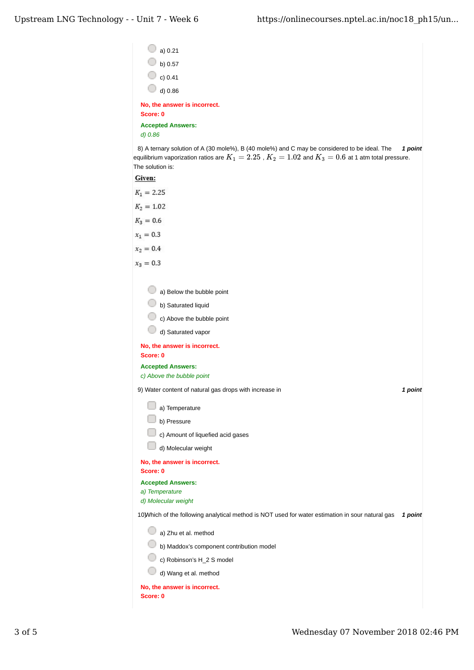| a) 0.21                                                                                                                                                                                                                |         |
|------------------------------------------------------------------------------------------------------------------------------------------------------------------------------------------------------------------------|---------|
| $\Box$ b) 0.57                                                                                                                                                                                                         |         |
| $\circ$ c) 0.41                                                                                                                                                                                                        |         |
| d) 0.86                                                                                                                                                                                                                |         |
| No, the answer is incorrect.                                                                                                                                                                                           |         |
| Score: 0                                                                                                                                                                                                               |         |
| <b>Accepted Answers:</b>                                                                                                                                                                                               |         |
| d) 0.86                                                                                                                                                                                                                |         |
| 8) A ternary solution of A (30 mole%), B (40 mole%) and C may be considered to be ideal. The<br>equilibrium vaporization ratios are $K_1=2.25$ , $K_2=1.02$ and $K_3=0.6$ at 1 atm total pressure.<br>The solution is: | 1 point |
| Given:                                                                                                                                                                                                                 |         |
| $K_1 = 2.25$                                                                                                                                                                                                           |         |
| $K_2 = 1.02$                                                                                                                                                                                                           |         |
| $K_3 = 0.6$                                                                                                                                                                                                            |         |
| $x_1 = 0.3$                                                                                                                                                                                                            |         |
| $x_2 = 0.4$                                                                                                                                                                                                            |         |
| $x_3 = 0.3$                                                                                                                                                                                                            |         |
|                                                                                                                                                                                                                        |         |
| a) Below the bubble point                                                                                                                                                                                              |         |
| b) Saturated liquid                                                                                                                                                                                                    |         |
| c) Above the bubble point                                                                                                                                                                                              |         |
| d) Saturated vapor                                                                                                                                                                                                     |         |
| No, the answer is incorrect.                                                                                                                                                                                           |         |
| Score: 0                                                                                                                                                                                                               |         |
| <b>Accepted Answers:</b><br>c) Above the bubble point                                                                                                                                                                  |         |
| 9) Water content of natural gas drops with increase in                                                                                                                                                                 | 1 point |
|                                                                                                                                                                                                                        |         |
| a) Temperature                                                                                                                                                                                                         |         |
| b) Pressure                                                                                                                                                                                                            |         |
| c) Amount of liquefied acid gases                                                                                                                                                                                      |         |
| d) Molecular weight                                                                                                                                                                                                    |         |
| No, the answer is incorrect.<br>Score: 0                                                                                                                                                                               |         |
| <b>Accepted Answers:</b>                                                                                                                                                                                               |         |
| a) Temperature<br>d) Molecular weight                                                                                                                                                                                  |         |
| 10) Which of the following analytical method is NOT used for water estimation in sour natural gas                                                                                                                      | 1 point |
| a) Zhu et al. method                                                                                                                                                                                                   |         |
| b) Maddox's component contribution model                                                                                                                                                                               |         |
| c) Robinson's H_2 S model                                                                                                                                                                                              |         |
| d) Wang et al. method                                                                                                                                                                                                  |         |
| No, the answer is incorrect.                                                                                                                                                                                           |         |
| Score: 0                                                                                                                                                                                                               |         |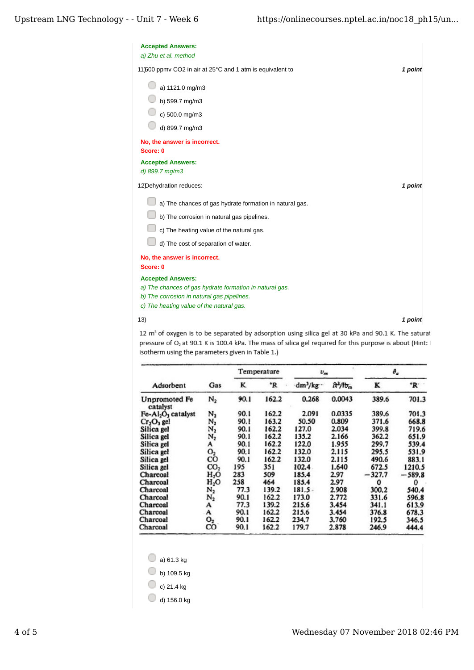| <b>Accepted Answers:</b><br>a) Zhu et al. method          |         |
|-----------------------------------------------------------|---------|
| 11\500 ppmv CO2 in air at 25°C and 1 atm is equivalent to | 1 point |
| a) 1121.0 mg/m3                                           |         |
| b) 599.7 mg/m3                                            |         |
| c) 500.0 mg/m3                                            |         |
| d) 899.7 mg/m3                                            |         |
| No, the answer is incorrect.                              |         |
| Score: 0                                                  |         |
| <b>Accepted Answers:</b><br>d) 899.7 mg/m3                |         |
| 12Dehydration reduces:                                    | 1 point |
| a) The chances of gas hydrate formation in natural gas.   |         |
| b) The corrosion in natural gas pipelines.                |         |
| c) The heating value of the natural gas.                  |         |
| d) The cost of separation of water.                       |         |
| No, the answer is incorrect.<br>Score: 0                  |         |
| <b>Accepted Answers:</b>                                  |         |
| a) The chances of gas hydrate formation in natural gas.   |         |
| b) The corrosion in natural gas pipelines.                |         |
| c) The heating value of the natural gas.                  |         |
| 13)                                                       | 1 point |

12 m<sup>3</sup> of oxygen is to be separated by adsorption using silica gel at 30 kPa and 90.1 K. The saturat pressure of O<sub>2</sub> at 90.1 K is 100.4 kPa. The mass of silica gel required for this purpose is about (Hint: I isotherm using the parameters given in Table 1.)

|                                  | Gas              | Temperature |                  | $v_{m}$   |               | $\theta_a$ |          |
|----------------------------------|------------------|-------------|------------------|-----------|---------------|------------|----------|
| Adsorbent                        |                  | ĸ           | $\boldsymbol{R}$ | $dm^3/kg$ | $\frac{1}{2}$ | K          | °R       |
| <b>Unpromoted Fe</b><br>catalyst | $N_2$            | 90.1        | 162.2            | 0.268     | 0.0043        | 389.6      | 701.3    |
| $Fe-Al2O3$ catalyst              | $N_2$            | 90.1        | 162.2            | 2.091     | 0.0335        | 389.6      | 701.3    |
| $Cr_2O_1$ gel                    | $\mathsf{N}_2$   | 90.1        | 163.2            | 50.50     | 0.809         | 371.6      | 668.8    |
| Silica gel                       | N,               | 90.1        | 162.2            | 127.0     | 2.034         | 399.8      | 719.6    |
| Silica gel                       | $N_{2}$          | 90.1        | 162.2            | 135.2     | 2.166         | 362.2      | 651.9    |
| Silica gel                       | A                | 90.1        | 162.2            | 122.0     | 1.955         | 299.7      | 539.4    |
| Silica gel                       | O <sub>2</sub>   | 90.1        | 162.2            | 132.0     | 2.115         | 295.5      | 531.9    |
| Silica gel                       | CO               | 90.1        | 162.2            | 132.0     | 2.115         | 490.6      | 883.1    |
| Silica gel                       | CO <sub>2</sub>  | 195         | 351              | 102.4     | 1.640         | 672.5      | 1210.5   |
| Charcoal                         | H <sub>2</sub> O | 283         | 509              | 185.4     | 2.97          | $-327.7$   | $-589.8$ |
| Charcoal                         | H <sub>2</sub> O | 258         | 464              | 185.4     | 2.97          | 0          | 0        |
| Charcoal                         | $\mathbb{N}_2$   | 77.3        | 139.2            | 181.5.    | 2.908         | 300.2      | 540.4    |
| Charcoal                         | $N_2$            | 90.1        | 162.2            | 173.0     | 2.772         | 331.6      | 596.8    |
| Charcoal                         | A                | 77.3        | 139.2            | 215.6     | 3.454         | 341.1      | 613.9    |
| Charcoal                         | А                | 90.1        | 162.2            | 215.6     | 3.454         | 376.8      | 678.3    |
| Charcoal                         | O <sub>2</sub>   | 90.1        | 162.2            | 234.7     | 3.760         | 192.5      | 346.5    |
| Charcoal                         | co               | 90.1        | 162.2            | 179.7     | 2.878         | 246.9      | 444.4    |

 $\bigcirc$  a) 61.3 kg

b) 109.5 kg

 $\bigcirc$  c) 21.4 kg

d) 156.0 kg